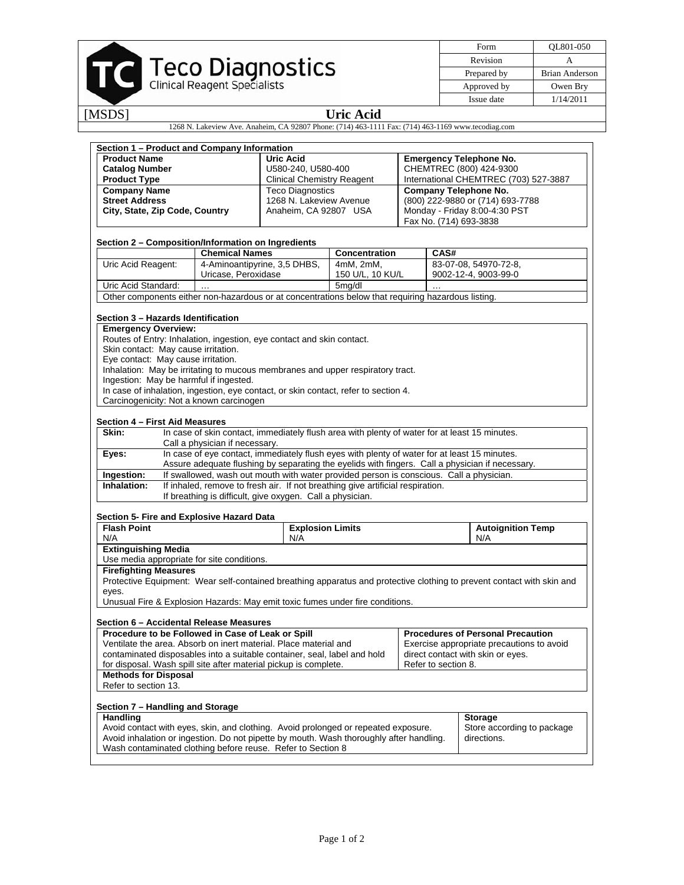## Teco Diagnostics

| Form        | OL801-050      |  |  |
|-------------|----------------|--|--|
| Revision    |                |  |  |
| Prepared by | Brian Anderson |  |  |
| Approved by | Owen Bry       |  |  |
| Issue date  | 1/14/2011      |  |  |

[MSDS] **Uric Acid** 

1268 N. Lakeview Ave. Anaheim, CA 92807 Phone: (714) 463-1111 Fax: (714) 463-1169 www.tecodiag.com

| Section 1 - Product and Company Information                                                                                                            |                                                           |                                   |                                                                                                        |                                       |                                                                                                                        |  |  |  |  |  |  |
|--------------------------------------------------------------------------------------------------------------------------------------------------------|-----------------------------------------------------------|-----------------------------------|--------------------------------------------------------------------------------------------------------|---------------------------------------|------------------------------------------------------------------------------------------------------------------------|--|--|--|--|--|--|
| <b>Product Name</b>                                                                                                                                    |                                                           |                                   | Uric Acid                                                                                              |                                       | <b>Emergency Telephone No.</b>                                                                                         |  |  |  |  |  |  |
| <b>Catalog Number</b>                                                                                                                                  |                                                           | U580-240, U580-400                |                                                                                                        |                                       | CHEMTREC (800) 424-9300                                                                                                |  |  |  |  |  |  |
| <b>Product Type</b>                                                                                                                                    |                                                           | <b>Clinical Chemistry Reagent</b> |                                                                                                        | International CHEMTREC (703) 527-3887 |                                                                                                                        |  |  |  |  |  |  |
| <b>Company Name</b>                                                                                                                                    |                                                           | <b>Teco Diagnostics</b>           |                                                                                                        | <b>Company Telephone No.</b>          |                                                                                                                        |  |  |  |  |  |  |
| <b>Street Address</b>                                                                                                                                  |                                                           | 1268 N. Lakeview Avenue           |                                                                                                        | (800) 222-9880 or (714) 693-7788      |                                                                                                                        |  |  |  |  |  |  |
| City, State, Zip Code, Country                                                                                                                         |                                                           | Anaheim, CA 92807 USA             |                                                                                                        |                                       | Monday - Friday 8:00-4:30 PST                                                                                          |  |  |  |  |  |  |
|                                                                                                                                                        |                                                           |                                   |                                                                                                        | Fax No. (714) 693-3838                |                                                                                                                        |  |  |  |  |  |  |
|                                                                                                                                                        |                                                           |                                   |                                                                                                        |                                       |                                                                                                                        |  |  |  |  |  |  |
| Section 2 - Composition/Information on Ingredients                                                                                                     |                                                           |                                   |                                                                                                        |                                       |                                                                                                                        |  |  |  |  |  |  |
|                                                                                                                                                        | <b>Chemical Names</b>                                     |                                   | Concentration                                                                                          | CAS#                                  |                                                                                                                        |  |  |  |  |  |  |
| Uric Acid Reagent:                                                                                                                                     | 4-Aminoantipyrine, 3,5 DHBS,                              |                                   | 4mM. 2mM.                                                                                              |                                       | 83-07-08, 54970-72-8,                                                                                                  |  |  |  |  |  |  |
|                                                                                                                                                        | Uricase, Peroxidase                                       |                                   | 150 U/L, 10 KU/L                                                                                       |                                       | 9002-12-4, 9003-99-0                                                                                                   |  |  |  |  |  |  |
| Uric Acid Standard:                                                                                                                                    |                                                           |                                   | 5mg/dl                                                                                                 |                                       |                                                                                                                        |  |  |  |  |  |  |
| Other components either non-hazardous or at concentrations below that requiring hazardous listing.                                                     |                                                           |                                   |                                                                                                        |                                       |                                                                                                                        |  |  |  |  |  |  |
|                                                                                                                                                        |                                                           |                                   |                                                                                                        |                                       |                                                                                                                        |  |  |  |  |  |  |
| Section 3 - Hazards Identification                                                                                                                     |                                                           |                                   |                                                                                                        |                                       |                                                                                                                        |  |  |  |  |  |  |
|                                                                                                                                                        |                                                           |                                   |                                                                                                        |                                       |                                                                                                                        |  |  |  |  |  |  |
| <b>Emergency Overview:</b>                                                                                                                             |                                                           |                                   |                                                                                                        |                                       |                                                                                                                        |  |  |  |  |  |  |
| Routes of Entry: Inhalation, ingestion, eye contact and skin contact.                                                                                  |                                                           |                                   |                                                                                                        |                                       |                                                                                                                        |  |  |  |  |  |  |
| Skin contact: May cause irritation.                                                                                                                    |                                                           |                                   |                                                                                                        |                                       |                                                                                                                        |  |  |  |  |  |  |
| Eye contact: May cause irritation.<br>Inhalation: May be irritating to mucous membranes and upper respiratory tract.                                   |                                                           |                                   |                                                                                                        |                                       |                                                                                                                        |  |  |  |  |  |  |
|                                                                                                                                                        |                                                           |                                   |                                                                                                        |                                       |                                                                                                                        |  |  |  |  |  |  |
| Ingestion: May be harmful if ingested.<br>In case of inhalation, ingestion, eye contact, or skin contact, refer to section 4.                          |                                                           |                                   |                                                                                                        |                                       |                                                                                                                        |  |  |  |  |  |  |
|                                                                                                                                                        |                                                           |                                   |                                                                                                        |                                       |                                                                                                                        |  |  |  |  |  |  |
| Carcinogenicity: Not a known carcinogen                                                                                                                |                                                           |                                   |                                                                                                        |                                       |                                                                                                                        |  |  |  |  |  |  |
| Section 4 - First Aid Measures                                                                                                                         |                                                           |                                   |                                                                                                        |                                       |                                                                                                                        |  |  |  |  |  |  |
|                                                                                                                                                        |                                                           |                                   |                                                                                                        |                                       |                                                                                                                        |  |  |  |  |  |  |
|                                                                                                                                                        |                                                           |                                   | In case of skin contact, immediately flush area with plenty of water for at least 15 minutes.<br>Skin: |                                       |                                                                                                                        |  |  |  |  |  |  |
| Call a physician if necessary.<br>In case of eye contact, immediately flush eyes with plenty of water for at least 15 minutes.                         |                                                           |                                   |                                                                                                        |                                       |                                                                                                                        |  |  |  |  |  |  |
|                                                                                                                                                        |                                                           |                                   |                                                                                                        |                                       |                                                                                                                        |  |  |  |  |  |  |
| Eyes:                                                                                                                                                  |                                                           |                                   |                                                                                                        |                                       |                                                                                                                        |  |  |  |  |  |  |
|                                                                                                                                                        |                                                           |                                   |                                                                                                        |                                       | Assure adequate flushing by separating the eyelids with fingers. Call a physician if necessary.                        |  |  |  |  |  |  |
| Ingestion:                                                                                                                                             |                                                           |                                   | If swallowed, wash out mouth with water provided person is conscious. Call a physician.                |                                       |                                                                                                                        |  |  |  |  |  |  |
| Inhalation:                                                                                                                                            |                                                           |                                   | If inhaled, remove to fresh air. If not breathing give artificial respiration.                         |                                       |                                                                                                                        |  |  |  |  |  |  |
|                                                                                                                                                        | If breathing is difficult, give oxygen. Call a physician. |                                   |                                                                                                        |                                       |                                                                                                                        |  |  |  |  |  |  |
|                                                                                                                                                        |                                                           |                                   |                                                                                                        |                                       |                                                                                                                        |  |  |  |  |  |  |
| Section 5- Fire and Explosive Hazard Data                                                                                                              |                                                           |                                   |                                                                                                        |                                       |                                                                                                                        |  |  |  |  |  |  |
| <b>Flash Point</b>                                                                                                                                     |                                                           | <b>Explosion Limits</b>           |                                                                                                        |                                       | <b>Autoignition Temp</b>                                                                                               |  |  |  |  |  |  |
| N/A                                                                                                                                                    |                                                           | N/A                               |                                                                                                        |                                       | N/A                                                                                                                    |  |  |  |  |  |  |
| <b>Extinguishing Media</b>                                                                                                                             |                                                           |                                   |                                                                                                        |                                       |                                                                                                                        |  |  |  |  |  |  |
| Use media appropriate for site conditions.                                                                                                             |                                                           |                                   |                                                                                                        |                                       |                                                                                                                        |  |  |  |  |  |  |
| <b>Firefighting Measures</b>                                                                                                                           |                                                           |                                   |                                                                                                        |                                       |                                                                                                                        |  |  |  |  |  |  |
|                                                                                                                                                        |                                                           |                                   |                                                                                                        |                                       | Protective Equipment: Wear self-contained breathing apparatus and protective clothing to prevent contact with skin and |  |  |  |  |  |  |
| eyes.                                                                                                                                                  |                                                           |                                   |                                                                                                        |                                       |                                                                                                                        |  |  |  |  |  |  |
| Unusual Fire & Explosion Hazards: May emit toxic fumes under fire conditions.                                                                          |                                                           |                                   |                                                                                                        |                                       |                                                                                                                        |  |  |  |  |  |  |
|                                                                                                                                                        |                                                           |                                   |                                                                                                        |                                       |                                                                                                                        |  |  |  |  |  |  |
| Section 6 – Accidental Release Measures                                                                                                                |                                                           |                                   |                                                                                                        |                                       |                                                                                                                        |  |  |  |  |  |  |
| Procedure to be Followed in Case of Leak or Spill                                                                                                      |                                                           |                                   |                                                                                                        |                                       | <b>Procedures of Personal Precaution</b>                                                                               |  |  |  |  |  |  |
| Ventilate the area. Absorb on inert material. Place material and                                                                                       |                                                           |                                   |                                                                                                        |                                       | Exercise appropriate precautions to avoid                                                                              |  |  |  |  |  |  |
| contaminated disposables into a suitable container, seal, label and hold                                                                               |                                                           |                                   |                                                                                                        |                                       | direct contact with skin or eyes.                                                                                      |  |  |  |  |  |  |
| for disposal. Wash spill site after material pickup is complete.                                                                                       |                                                           |                                   |                                                                                                        | Refer to section 8.                   |                                                                                                                        |  |  |  |  |  |  |
| <b>Methods for Disposal</b>                                                                                                                            |                                                           |                                   |                                                                                                        |                                       |                                                                                                                        |  |  |  |  |  |  |
| Refer to section 13.                                                                                                                                   |                                                           |                                   |                                                                                                        |                                       |                                                                                                                        |  |  |  |  |  |  |
|                                                                                                                                                        |                                                           |                                   |                                                                                                        |                                       |                                                                                                                        |  |  |  |  |  |  |
| Section 7 - Handling and Storage                                                                                                                       |                                                           |                                   |                                                                                                        |                                       |                                                                                                                        |  |  |  |  |  |  |
| Handling                                                                                                                                               |                                                           |                                   |                                                                                                        |                                       | <b>Storage</b>                                                                                                         |  |  |  |  |  |  |
| Avoid contact with eyes, skin, and clothing. Avoid prolonged or repeated exposure.                                                                     |                                                           |                                   |                                                                                                        |                                       | Store according to package                                                                                             |  |  |  |  |  |  |
| Avoid inhalation or ingestion. Do not pipette by mouth. Wash thoroughly after handling.<br>Wash contaminated clothing before reuse. Refer to Section 8 |                                                           |                                   |                                                                                                        |                                       | directions.                                                                                                            |  |  |  |  |  |  |